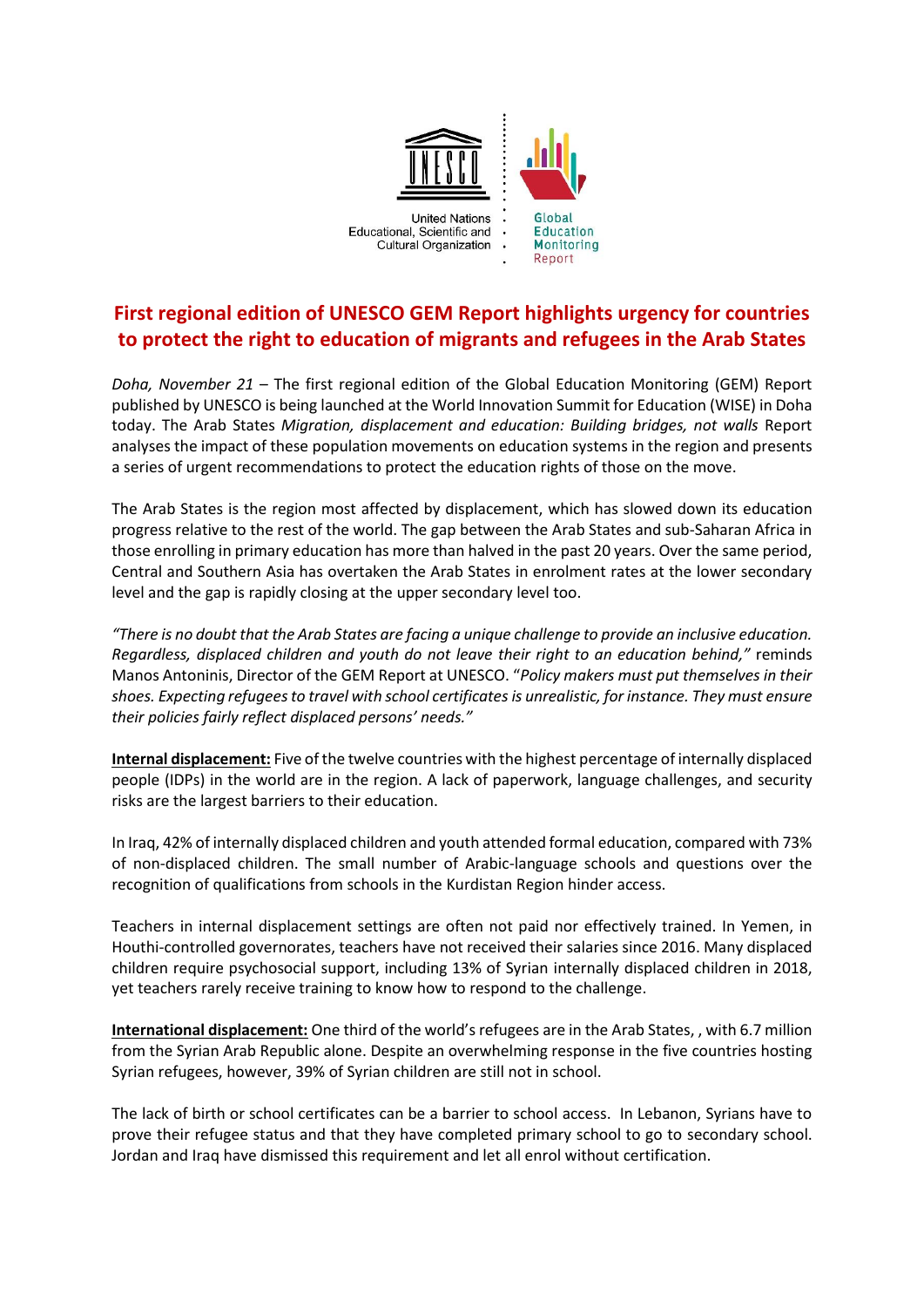

## **First regional edition of UNESCO GEM Report highlights urgency for countries to protect the right to education of migrants and refugees in the Arab States**

*Doha, November 21* – The first regional edition of the Global Education Monitoring (GEM) Report published by UNESCO is being launched at the World Innovation Summit for Education (WISE) in Doha today. The Arab States *Migration, displacement and education: Building bridges, not walls* Report analyses the impact of these population movements on education systems in the region and presents a series of urgent recommendations to protect the education rights of those on the move.

The Arab States is the region most affected by displacement, which has slowed down its education progress relative to the rest of the world. The gap between the Arab States and sub-Saharan Africa in those enrolling in primary education has more than halved in the past 20 years. Over the same period, Central and Southern Asia has overtaken the Arab States in enrolment rates at the lower secondary level and the gap is rapidly closing at the upper secondary level too.

*"There is no doubt that the Arab States are facing a unique challenge to provide an inclusive education. Regardless, displaced children and youth do not leave their right to an education behind,"* reminds Manos Antoninis, Director of the GEM Report at UNESCO. "*Policy makers must put themselves in their shoes. Expecting refugees to travel with school certificates is unrealistic, for instance. They must ensure their policies fairly reflect displaced persons' needs."*

**Internal displacement:** Five of the twelve countries with the highest percentage of internally displaced people (IDPs) in the world are in the region. A lack of paperwork, language challenges, and security risks are the largest barriers to their education.

In Iraq, 42% of internally displaced children and youth attended formal education, compared with 73% of non-displaced children. The small number of Arabic-language schools and questions over the recognition of qualifications from schools in the Kurdistan Region hinder access.

Teachers in internal displacement settings are often not paid nor effectively trained. In Yemen, in Houthi-controlled governorates, teachers have not received their salaries since 2016. Many displaced children require psychosocial support, including 13% of Syrian internally displaced children in 2018, yet teachers rarely receive training to know how to respond to the challenge.

**International displacement:** One third of the world's refugees are in the Arab States, , with 6.7 million from the Syrian Arab Republic alone. Despite an overwhelming response in the five countries hosting Syrian refugees, however, 39% of Syrian children are still not in school.

The lack of birth or school certificates can be a barrier to school access. In Lebanon, Syrians have to prove their refugee status and that they have completed primary school to go to secondary school. Jordan and Iraq have dismissed this requirement and let all enrol without certification.